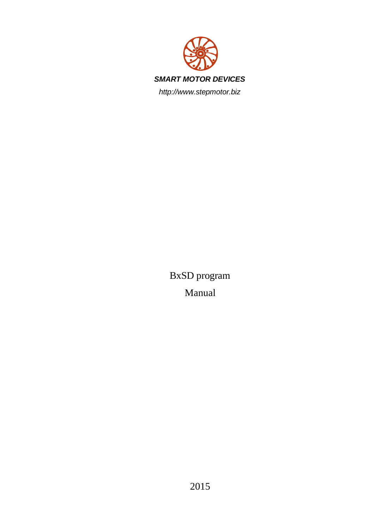

BxSD program Manual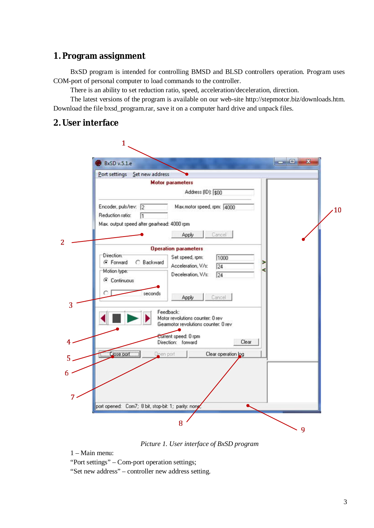# **1. Program assignment**

BxSD program is intended for controlling BMSD and BLSD controllers operation. Program uses COM-port of personal computer to load commands to the controller.

There is an ability to set reduction ratio, speed, acceleration/deceleration, direction.

The latest versions of the program is available on our web-site http://stepmotor.biz/downloads.htm. Download the file bxsd program.rar, save it on a computer hard drive and unpack files.

### **2. User interface**



*Picture 1. User interface of BxSD program*

1 – Main menu:

"Port settings" – Com-port operation settings;

"Set new address" – controller new address setting.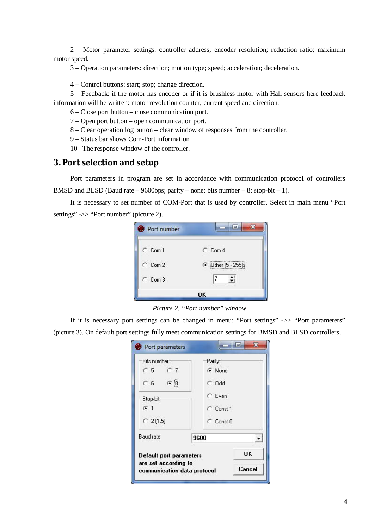2 – Motor parameter settings: controller address; encoder resolution; reduction ratio; maximum motor speed.

3 – Operation parameters: direction; motion type; speed; acceleration; deceleration.

4 – Control buttons: start; stop; change direction.

5 – Feedback: if the motor has encoder or if it is brushless motor with Hall sensors here feedback information will be written: motor revolution counter, current speed and direction.

6 – Close port button – close communication port.

7 – Open port button – open communication port.

8 – Clear operation log button – clear window of responses from the controller.

9 – Status bar shows Com-Port information

10 –The response window of the controller.

#### **3. Port selection and setup**

Port parameters in program are set in accordance with communication protocol of controllers BMSD and BLSD (Baud rate  $-9600$ bps; parity – none; bits number – 8; stop-bit – 1).

It is necessary to set number of COM-Port that is used by controller. Select in main menu "Port settings" ->> "Port number" (picture 2).

| Port number       | e                  |  |
|-------------------|--------------------|--|
| $\subset$ Com 1   | $C_{CD}$           |  |
| $C_{\rm Com}$ 2   | C Dther (5 - 255): |  |
| $C_{\text{Com}}3$ | $\Rightarrow$<br>7 |  |
|                   |                    |  |

*Picture 2. "Port number" window*

If it is necessary port settings can be changed in menu: "Port settings" ->> "Port parameters" (picture 3). On default port settings fully meet communication settings for BMSD and BLSD controllers.

| Default port parameters<br>are set according to<br>communication data protocol | OK<br>Cancel   |  |  |
|--------------------------------------------------------------------------------|----------------|--|--|
| Baud rate:                                                                     | 9600           |  |  |
| $C$ 2(1,5)                                                                     | $\cap$ Const 0 |  |  |
| G <sub>1</sub>                                                                 | $C$ Const 1    |  |  |
| Stop-bit:                                                                      | $\subset$ Even |  |  |
| $\sigma$ 8<br>$C_6$                                                            | $\subset$ Odd  |  |  |
| $C5$ $C7$                                                                      | G None         |  |  |
| Bits number:                                                                   | Parity:        |  |  |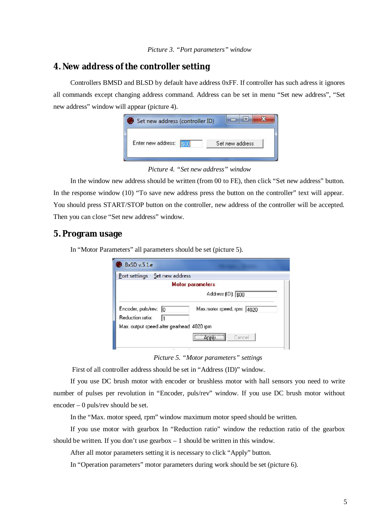# **4. New address of the controller setting**

Controllers BMSD and BLSD by default have address 0xFF. If controller has such adress it ignores all commands except changing address command. Address can be set in menu "Set new address", "Set new address" window will appear (picture 4).

| Enter new address:<br>KUDA WALIONGO KA CEELOMAKANA | Set new address |
|----------------------------------------------------|-----------------|

*Picture 4. "Set new address" window*

In the window new address should be written (from 00 to FE), then click "Set new address" button. In the response window (10) "To save new address press the button on the controller" text will appear. You should press START/STOP button on the controller, new address of the controller will be accepted. Then you can close "Set new address" window.

### **5. Program usage**

In "Motor Parameters" all parameters should be set (picture 5).

| Set new address<br>Port settings           |                            |
|--------------------------------------------|----------------------------|
|                                            | <b>Motor parameters</b>    |
|                                            | Address (ID): \$00         |
| Encoder, puls/rev: 0<br>Reduction ratio:   | Max.motor speed, rpm: 4020 |
| Max, output speed after gearhead: 4020 rpm |                            |
|                                            | $\Box$ Apply<br>Cancel     |

*Picture 5. "Motor parameters" settings*

First of all controller address should be set in "Address (ID)" window.

If you use DC brush motor with encoder or brushless motor with hall sensors you need to write number of pulses per revolution in "Encoder, puls/rev" window. If you use DC brush motor without encoder – 0 puls/rev should be set.

In the "Max. motor speed, rpm" window maximum motor speed should be written.

If you use motor with gearbox In "Reduction ratio" window the reduction ratio of the gearbox should be written. If you don't use gearbox  $-1$  should be written in this window.

After all motor parameters setting it is necessary to click "Apply" button.

In "Operation parameters" motor parameters during work should be set (picture 6).